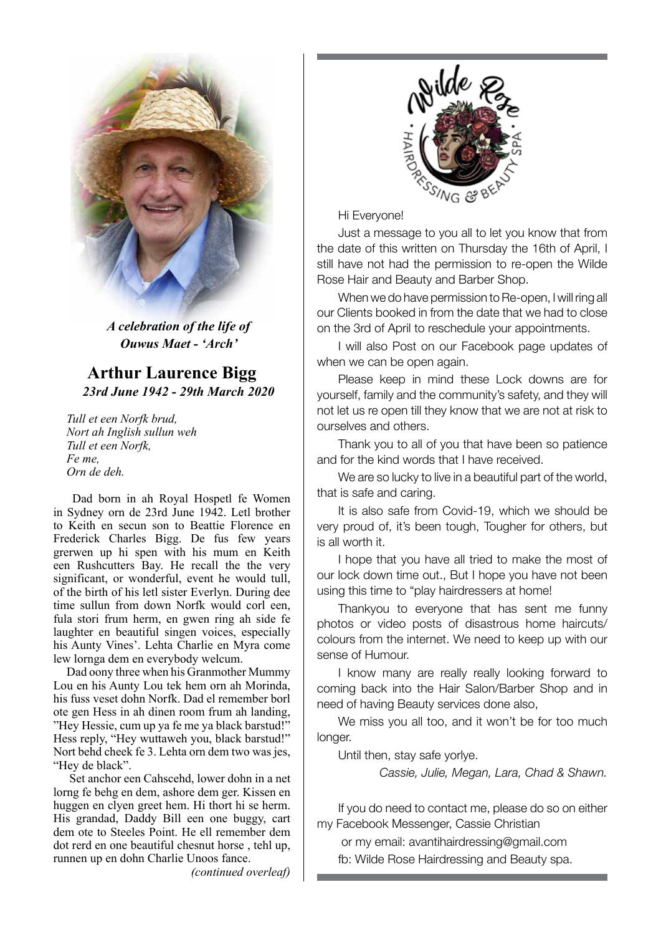

*A celebration of the life of Ouwus Maet - 'Arch'*

**Arthur Laurence Bigg** *23rd June 1942 - 29th March 2020*

*Tull et een Norfk brud, Nort ah Inglish sullun weh Tull et een Norfk, Fe me, Orn de deh.*

 Dad born in ah Royal Hospetl fe Women in Sydney orn de 23rd June 1942. Letl brother to Keith en secun son to Beattie Florence en Frederick Charles Bigg. De fus few years grerwen up hi spen with his mum en Keith een Rushcutters Bay. He recall the the very significant, or wonderful, event he would tull, of the birth of his letl sister Everlyn. During dee time sullun from down Norfk would corl een, fula stori frum herm, en gwen ring ah side fe laughter en beautiful singen voices, especially his Aunty Vines'. Lehta Charlie en Myra come lew lornga dem en everybody welcum.

Dad oony three when his Granmother Mummy Lou en his Aunty Lou tek hem orn ah Morinda, his fuss veset dohn Norfk. Dad el remember borl ote gen Hess in ah dinen room frum ah landing, "Hey Hessie, cum up ya fe me ya black barstud!" Hess reply, "Hey wuttaweh you, black barstud!" Nort behd cheek fe 3. Lehta orn dem two was jes, "Hey de black".

 Set anchor een Cahscehd, lower dohn in a net lorng fe behg en dem, ashore dem ger. Kissen en huggen en clyen greet hem. Hi thort hi se herm. His grandad, Daddy Bill een one buggy, cart dem ote to Steeles Point. He ell remember dem dot rerd en one beautiful chesnut horse , tehl up, runnen up en dohn Charlie Unoos fance.

*(continued overleaf)*



Hi Everyone!

Just a message to you all to let you know that from the date of this written on Thursday the 16th of April, I still have not had the permission to re-open the Wilde Rose Hair and Beauty and Barber Shop.

When we do have permission to Re-open, I will ring all our Clients booked in from the date that we had to close on the 3rd of April to reschedule your appointments.

I will also Post on our Facebook page updates of when we can be open again.

Please keep in mind these Lock downs are for yourself, family and the community's safety, and they will not let us re open till they know that we are not at risk to ourselves and others.

Thank you to all of you that have been so patience and for the kind words that I have received.

We are so lucky to live in a beautiful part of the world, that is safe and caring.

It is also safe from Covid-19, which we should be very proud of, it's been tough, Tougher for others, but is all worth it.

I hope that you have all tried to make the most of our lock down time out., But I hope you have not been using this time to "play hairdressers at home!

Thankyou to everyone that has sent me funny photos or video posts of disastrous home haircuts/ colours from the internet. We need to keep up with our sense of Humour.

I know many are really really looking forward to coming back into the Hair Salon/Barber Shop and in need of having Beauty services done also,

We miss you all too, and it won't be for too much longer.

Until then, stay safe yorlye.

*Cassie, Julie, Megan, Lara, Chad & Shawn.*

If you do need to contact me, please do so on either my Facebook Messenger, Cassie Christian

 or my email: avantihairdressing@gmail.com fb: Wilde Rose Hairdressing and Beauty spa.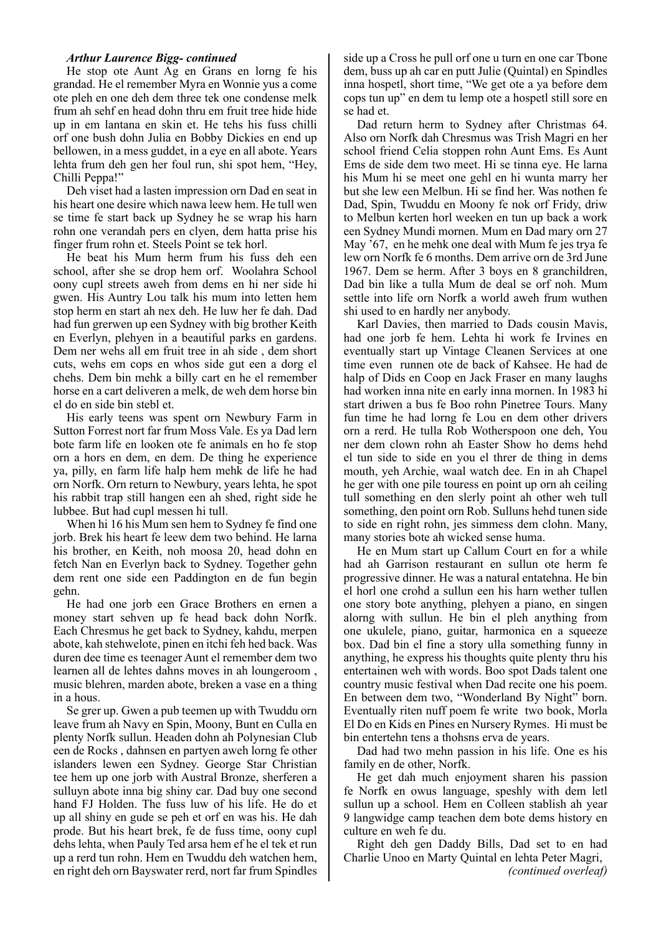#### *Arthur Laurence Bigg- continued*

He stop ote Aunt Ag en Grans en lorng fe his grandad. He el remember Myra en Wonnie yus a come ote pleh en one deh dem three tek one condense melk frum ah sehf en head dohn thru em fruit tree hide hide up in em lantana en skin et. He tehs his fuss chilli orf one bush dohn Julia en Bobby Dickies en end up bellowen, in a mess guddet, in a eye en all abote. Years lehta frum deh gen her foul run, shi spot hem, "Hey, Chilli Peppa!"

Deh viset had a lasten impression orn Dad en seat in his heart one desire which nawa leew hem. He tull wen se time fe start back up Sydney he se wrap his harn rohn one verandah pers en clyen, dem hatta prise his finger frum rohn et. Steels Point se tek horl.

He beat his Mum herm frum his fuss deh een school, after she se drop hem orf. Woolahra School oony cupl streets aweh from dems en hi ner side hi gwen. His Auntry Lou talk his mum into letten hem stop herm en start ah nex deh. He luw her fe dah. Dad had fun grerwen up een Sydney with big brother Keith en Everlyn, plehyen in a beautiful parks en gardens. Dem ner wehs all em fruit tree in ah side , dem short cuts, wehs em cops en whos side gut een a dorg el chehs. Dem bin mehk a billy cart en he el remember horse en a cart deliveren a melk, de weh dem horse bin el do en side bin stebl et.

His early teens was spent orn Newbury Farm in Sutton Forrest nort far frum Moss Vale. Es ya Dad lern bote farm life en looken ote fe animals en ho fe stop orn a hors en dem, en dem. De thing he experience ya, pilly, en farm life halp hem mehk de life he had orn Norfk. Orn return to Newbury, years lehta, he spot his rabbit trap still hangen een ah shed, right side he lubbee. But had cupl messen hi tull.

When hi 16 his Mum sen hem to Sydney fe find one jorb. Brek his heart fe leew dem two behind. He larna his brother, en Keith, noh moosa 20, head dohn en fetch Nan en Everlyn back to Sydney. Together gehn dem rent one side een Paddington en de fun begin gehn.

He had one jorb een Grace Brothers en ernen a money start sehven up fe head back dohn Norfk. Each Chresmus he get back to Sydney, kahdu, merpen abote, kah stehwelote, pinen en itchi feh hed back. Was duren dee time es teenager Aunt el remember dem two learnen all de lehtes dahns moves in ah loungeroom , music blehren, marden abote, breken a vase en a thing in a hous.

Se grer up. Gwen a pub teemen up with Twuddu orn leave frum ah Navy en Spin, Moony, Bunt en Culla en plenty Norfk sullun. Headen dohn ah Polynesian Club een de Rocks , dahnsen en partyen aweh lorng fe other islanders lewen een Sydney. George Star Christian tee hem up one jorb with Austral Bronze, sherferen a sulluyn abote inna big shiny car. Dad buy one second hand FJ Holden. The fuss luw of his life. He do et up all shiny en gude se peh et orf en was his. He dah prode. But his heart brek, fe de fuss time, oony cupl dehs lehta, when Pauly Ted arsa hem ef he el tek et run up a rerd tun rohn. Hem en Twuddu deh watchen hem, en right deh orn Bayswater rerd, nort far frum Spindles

side up a Cross he pull orf one u turn en one car Tbone dem, buss up ah car en putt Julie (Quintal) en Spindles inna hospetl, short time, "We get ote a ya before dem cops tun up" en dem tu lemp ote a hospetl still sore en se had et.

Dad return herm to Sydney after Christmas 64. Also orn Norfk dah Chresmus was Trish Magri en her school friend Celia stoppen rohn Aunt Ems. Es Aunt Ems de side dem two meet. Hi se tinna eye. He larna his Mum hi se meet one gehl en hi wunta marry her but she lew een Melbun. Hi se find her. Was nothen fe Dad, Spin, Twuddu en Moony fe nok orf Fridy, driw to Melbun kerten horl weeken en tun up back a work een Sydney Mundi mornen. Mum en Dad mary orn 27 May '67, en he mehk one deal with Mum fe jes trya fe lew orn Norfk fe 6 months. Dem arrive orn de 3rd June 1967. Dem se herm. After 3 boys en 8 granchildren, Dad bin like a tulla Mum de deal se orf noh. Mum settle into life orn Norfk a world aweh frum wuthen shi used to en hardly ner anybody.

Karl Davies, then married to Dads cousin Mavis, had one jorb fe hem. Lehta hi work fe Irvines en eventually start up Vintage Cleanen Services at one time even runnen ote de back of Kahsee. He had de halp of Dids en Coop en Jack Fraser en many laughs had worken inna nite en early inna mornen. In 1983 hi start driwen a bus fe Boo rohn Pinetree Tours. Many fun time he had lorng fe Lou en dem other drivers orn a rerd. He tulla Rob Wotherspoon one deh, You ner dem clown rohn ah Easter Show ho dems hehd el tun side to side en you el threr de thing in dems mouth, yeh Archie, waal watch dee. En in ah Chapel he ger with one pile touress en point up orn ah ceiling tull something en den slerly point ah other weh tull something, den point orn Rob. Sulluns hehd tunen side to side en right rohn, jes simmess dem clohn. Many, many stories bote ah wicked sense huma.

He en Mum start up Callum Court en for a while had ah Garrison restaurant en sullun ote herm fe progressive dinner. He was a natural entatehna. He bin el horl one crohd a sullun een his harn wether tullen one story bote anything, plehyen a piano, en singen alorng with sullun. He bin el pleh anything from one ukulele, piano, guitar, harmonica en a squeeze box. Dad bin el fine a story ulla something funny in anything, he express his thoughts quite plenty thru his entertainen weh with words. Boo spot Dads talent one country music festival when Dad recite one his poem. En between dem two, "Wonderland By Night" born. Eventually riten nuff poem fe write two book, Morla El Do en Kids en Pines en Nursery Rymes. Hi must be bin entertehn tens a thohsns erva de years.

Dad had two mehn passion in his life. One es his family en de other, Norfk.

He get dah much enjoyment sharen his passion fe Norfk en owus language, speshly with dem letl sullun up a school. Hem en Colleen stablish ah year 9 langwidge camp teachen dem bote dems history en culture en weh fe du.

Right deh gen Daddy Bills, Dad set to en had Charlie Unoo en Marty Quintal en lehta Peter Magri, *(continued overleaf)*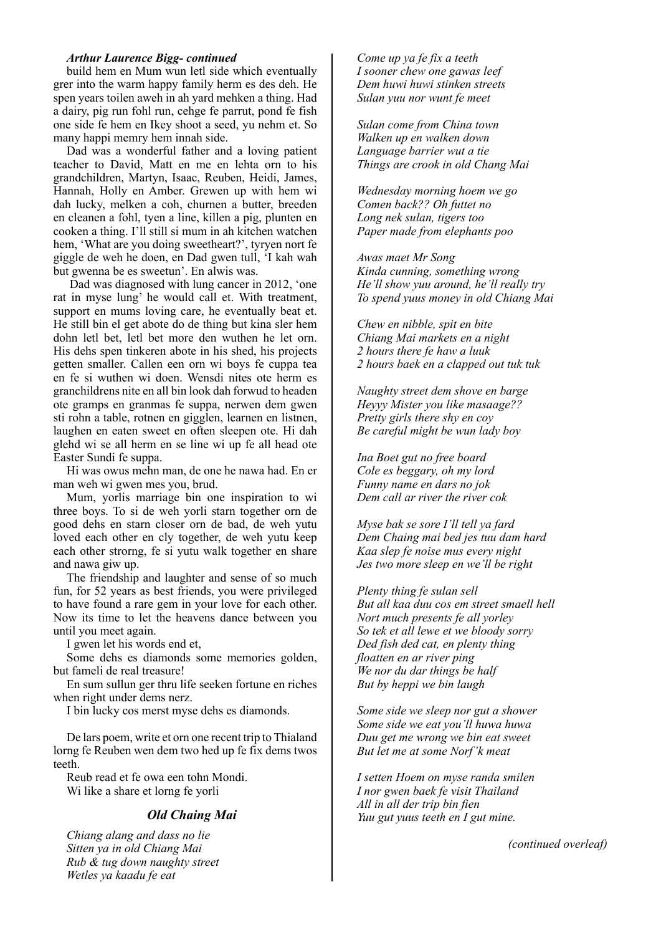#### *Arthur Laurence Bigg- continued*

build hem en Mum wun letl side which eventually grer into the warm happy family herm es des deh. He spen years toilen aweh in ah yard mehken a thing. Had a dairy, pig run fohl run, cehge fe parrut, pond fe fish one side fe hem en Ikey shoot a seed, yu nehm et. So many happi memry hem innah side.

Dad was a wonderful father and a loving patient teacher to David, Matt en me en lehta orn to his grandchildren, Martyn, Isaac, Reuben, Heidi, James, Hannah, Holly en Amber. Grewen up with hem wi dah lucky, melken a coh, churnen a butter, breeden en cleanen a fohl, tyen a line, killen a pig, plunten en cooken a thing. I'll still si mum in ah kitchen watchen hem, 'What are you doing sweetheart?', tyryen nort fe giggle de weh he doen, en Dad gwen tull, 'I kah wah but gwenna be es sweetun'. En alwis was.

 Dad was diagnosed with lung cancer in 2012, 'one rat in myse lung' he would call et. With treatment, support en mums loving care, he eventually beat et. He still bin el get abote do de thing but kina sler hem dohn letl bet, letl bet more den wuthen he let orn. His dehs spen tinkeren abote in his shed, his projects getten smaller. Callen een orn wi boys fe cuppa tea en fe si wuthen wi doen. Wensdi nites ote herm es granchildrens nite en all bin look dah forwud to headen ote gramps en granmas fe suppa, nerwen dem gwen sti rohn a table, rotnen en gigglen, learnen en listnen, laughen en eaten sweet en often sleepen ote. Hi dah glehd wi se all herm en se line wi up fe all head ote Easter Sundi fe suppa.

Hi was owus mehn man, de one he nawa had. En er man weh wi gwen mes you, brud.

Mum, yorlis marriage bin one inspiration to wi three boys. To si de weh yorli starn together orn de good dehs en starn closer orn de bad, de weh yutu loved each other en cly together, de weh yutu keep each other strorng, fe si yutu walk together en share and nawa giw up.

The friendship and laughter and sense of so much fun, for 52 years as best friends, you were privileged to have found a rare gem in your love for each other. Now its time to let the heavens dance between you until you meet again.

I gwen let his words end et,

Some dehs es diamonds some memories golden, but fameli de real treasure!

En sum sullun ger thru life seeken fortune en riches when right under dems nerz.

I bin lucky cos merst myse dehs es diamonds.

De lars poem, write et orn one recent trip to Thialand lorng fe Reuben wen dem two hed up fe fix dems twos teeth.

Reub read et fe owa een tohn Mondi. Wi like a share et lorng fe yorli

### *Old Chaing Mai*

*Chiang alang and dass no lie Sitten ya in old Chiang Mai Rub & tug down naughty street Wetles ya kaadu fe eat*

*Come up ya fe fix a teeth I sooner chew one gawas leef Dem huwi huwi stinken streets Sulan yuu nor wunt fe meet*

*Sulan come from China town Walken up en walken down Language barrier wut a tie Things are crook in old Chang Mai* 

*Wednesday morning hoem we go Comen back?? Oh futtet no Long nek sulan, tigers too Paper made from elephants poo*

*Awas maet Mr Song Kinda cunning, something wrong He'll show yuu around, he'll really try To spend yuus money in old Chiang Mai*

*Chew en nibble, spit en bite Chiang Mai markets en a night 2 hours there fe haw a luuk 2 hours baek en a clapped out tuk tuk*

*Naughty street dem shove en barge Heyyy Mister you like masaage?? Pretty girls there shy en coy Be careful might be wun lady boy*

*Ina Boet gut no free board Cole es beggary, oh my lord Funny name en dars no jok Dem call ar river the river cok*

*Myse bak se sore I'll tell ya fard Dem Chaing mai bed jes tuu dam hard Kaa slep fe noise mus every night Jes two more sleep en we'll be right*

*Plenty thing fe sulan sell But all kaa duu cos em street smaell hell Nort much presents fe all yorley So tek et all lewe et we bloody sorry Ded fish ded cat, en plenty thing floatten en ar river ping We nor du dar things be half But by heppi we bin laugh*

*Some side we sleep nor gut a shower Some side we eat you'll huwa huwa Duu get me wrong we bin eat sweet But let me at some Norf'k meat*

*I setten Hoem on myse randa smilen I nor gwen baek fe visit Thailand All in all der trip bin fien Yuu gut yuus teeth en I gut mine.*

*(continued overleaf)*